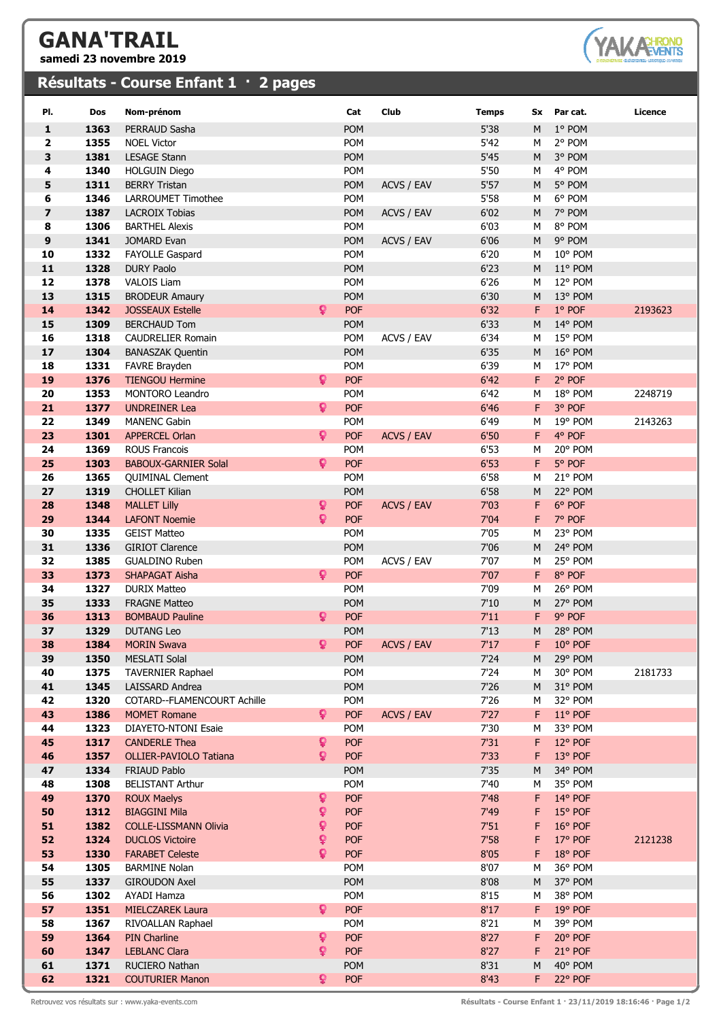## **GANA'TRAIL**

**samedi 23 novembre 2019**

## **Résultats - Course Enfant 1 · 2 pages**



| PI.                     | Dos          | Nom-prénom                                     |              | Cat                      | Club              | <b>Temps</b> |        | Sx Par cat.        | Licence |
|-------------------------|--------------|------------------------------------------------|--------------|--------------------------|-------------------|--------------|--------|--------------------|---------|
| $\mathbf{1}$            | 1363         | PERRAUD Sasha                                  |              | POM                      |                   | 5'38         | M      | 1° POM             |         |
| 2                       | 1355         | <b>NOEL Victor</b>                             |              | POM                      |                   | 5'42         | М      | 2° POM             |         |
| 3                       | 1381         | <b>LESAGE Stann</b>                            |              | POM                      |                   | 5'45         | M      | 3° POM             |         |
| 4                       | 1340         | <b>HOLGUIN Diego</b>                           |              | POM                      |                   | 5'50         | М      | 4° POM             |         |
| 5                       | 1311         | <b>BERRY Tristan</b>                           |              | <b>POM</b>               | ACVS / EAV        | $5'57$       | M      | 5° POM             |         |
| 6                       | 1346         | <b>LARROUMET Timothee</b>                      |              | POM                      |                   | 5'58         | М      | 6° POM             |         |
| $\overline{\mathbf{z}}$ | 1387         | <b>LACROIX Tobias</b>                          |              | <b>POM</b>               | ACVS / EAV        | 6'02         | M      | 7° POM             |         |
| 8                       | 1306         | <b>BARTHEL Alexis</b>                          |              | POM                      |                   | 6'03         | М      | 8° POM             |         |
| 9                       | 1341         | JOMARD Evan                                    |              | <b>POM</b>               | ACVS / EAV        | 6'06         | M      | 9° POM             |         |
| 10                      | 1332         | <b>FAYOLLE Gaspard</b>                         |              | <b>POM</b>               |                   | 6'20         | М      | 10° POM            |         |
| 11                      | 1328         | <b>DURY Paolo</b>                              |              | <b>POM</b>               |                   | 6'23         | M      | 11° POM            |         |
| 12<br>13                | 1378<br>1315 | <b>VALOIS Liam</b><br><b>BRODEUR Amaury</b>    |              | POM<br><b>POM</b>        |                   | 6'26<br>6'30 | м<br>M | 12° POM<br>13° POM |         |
| 14                      | 1342         | <b>JOSSEAUX Estelle</b>                        | Q.           | <b>POF</b>               |                   | 6'32         | F      | 1° POF             | 2193623 |
| 15                      | 1309         | <b>BERCHAUD Tom</b>                            |              | POM                      |                   | 6'33         | М      | 14° POM            |         |
| 16                      | 1318         | <b>CAUDRELIER Romain</b>                       |              | POM                      | ACVS / EAV        | 6'34         | М      | 15° POM            |         |
| 17                      | 1304         | <b>BANASZAK Quentin</b>                        |              | <b>POM</b>               |                   | 6'35         | M      | 16° POM            |         |
| 18                      | 1331         | FAVRE Brayden                                  |              | POM                      |                   | 6'39         | М      | 17° POM            |         |
| 19                      | 1376         | <b>TIENGOU Hermine</b>                         | Q.           | <b>POF</b>               |                   | 6'42         | F.     | 2° POF             |         |
| 20                      | 1353         | <b>MONTORO Leandro</b>                         |              | <b>POM</b>               |                   | 6'42         | М      | 18° POM            | 2248719 |
| 21                      | 1377         | <b>UNDREINER Lea</b>                           | Q.           | <b>POF</b>               |                   | 6'46         | F.     | 3° POF             |         |
| 22                      | 1349         | <b>MANENC Gabin</b>                            |              | <b>POM</b>               |                   | 6'49         | М      | 19° POM            | 2143263 |
| 23                      | 1301         | <b>APPERCEL Orlan</b>                          | Q.           | <b>POF</b>               | <b>ACVS / EAV</b> | 6'50         | F      | 4° POF             |         |
| 24                      | 1369         | <b>ROUS Francois</b>                           |              | POM                      |                   | 6'53         | М      | 20° POM            |         |
| 25                      | 1303         | <b>BABOUX-GARNIER Solal</b>                    | $\mathbf{Q}$ | <b>POF</b>               |                   | 6'53         | F      | 5° POF             |         |
| 26                      | 1365         | <b>QUIMINAL Clement</b>                        |              | POM                      |                   | 6'58         | М      | 21° POM            |         |
| 27                      | 1319         | <b>CHOLLET Kilian</b>                          |              | POM                      |                   | 6'58         | M      | 22° POM            |         |
| 28<br>29                | 1348<br>1344 | <b>MALLET Lilly</b><br><b>LAFONT Noemie</b>    | ð.<br>ò      | <b>POF</b><br><b>POF</b> | ACVS / EAV        | 7'03<br>7'04 | F<br>F | 6° POF<br>7° POF   |         |
| 30                      | 1335         | <b>GEIST Matteo</b>                            |              | <b>POM</b>               |                   | 7'05         | М      | 23° POM            |         |
| 31                      | 1336         | <b>GIRIOT Clarence</b>                         |              | <b>POM</b>               |                   | 7'06         | М      | 24° POM            |         |
| 32                      | 1385         | <b>GUALDINO Ruben</b>                          |              | POM                      | ACVS / EAV        | 7'07         | М      | 25° POM            |         |
| 33                      | 1373         | SHAPAGAT Aisha                                 | Q.           | <b>POF</b>               |                   | 7'07         | F.     | 8° POF             |         |
| 34                      | 1327         | <b>DURIX Matteo</b>                            |              | <b>POM</b>               |                   | 7'09         | М      | 26° POM            |         |
| 35                      | 1333         | <b>FRAGNE Matteo</b>                           |              | <b>POM</b>               |                   | 7'10         | M      | 27° POM            |         |
| 36                      | 1313         | <b>BOMBAUD Pauline</b>                         | Q            | <b>POF</b>               |                   | 7'11         | F      | 9° POF             |         |
| 37                      | 1329         | <b>DUTANG Leo</b>                              |              | POM                      |                   | 7'13         | M      | 28° POM            |         |
| 38                      | 1384         | <b>MORIN Swava</b>                             | Q.           | <b>POF</b>               | ACVS / EAV        | 7'17         | F.     | $10^{\circ}$ POF   |         |
| 39                      | 1350         | <b>MESLATI Solal</b>                           |              | POM                      |                   | 7'24         | M      | 29° POM            |         |
| 40                      | 1375         | <b>TAVERNIER Raphael</b>                       |              | POM                      |                   | 7'24         | М      | 30° POM            | 2181733 |
| 41<br>42                | 1345<br>1320 | LAISSARD Andrea<br>COTARD--FLAMENCOURT Achille |              | POM<br>POM               |                   | 7'26<br>7'26 | M      | 31° POM<br>32° POM |         |
| 43                      | 1386         | <b>MOMET Romane</b>                            | Q.           | <b>POF</b>               | ACVS / EAV        | 7'27         | м<br>F | $11°$ POF          |         |
| 44                      | 1323         | DIAYETO-NTONI Esaie                            |              | <b>POM</b>               |                   | 7'30         | М      | 33° POM            |         |
| 45                      | 1317         | <b>CANDERLE Thea</b>                           | ្            | <b>POF</b>               |                   | 7'31         | F      | 12° POF            |         |
| 46                      | 1357         | OLLIER-PAVIOLO Tatiana                         | Q            | <b>POF</b>               |                   | 7'33         | F      | 13° POF            |         |
| 47                      | 1334         | FRIAUD Pablo                                   |              | <b>POM</b>               |                   | 7'35         | M      | 34° POM            |         |
| 48                      | 1308         | <b>BELISTANT Arthur</b>                        |              | <b>POM</b>               |                   | 7'40         | м      | 35° POM            |         |
| 49                      | 1370         | <b>ROUX Maelys</b>                             | ò            | <b>POF</b>               |                   | 7'48         | F      | 14° POF            |         |
| 50                      | 1312         | <b>BIAGGINI Mila</b>                           | Q            | <b>POF</b>               |                   | 7'49         | F      | 15° POF            |         |
| 51                      | 1382         | <b>COLLE-LISSMANN Olivia</b>                   | Q            | <b>POF</b>               |                   | 7'51         | F      | 16° POF            |         |
| 52                      | 1324         | <b>DUCLOS Victoire</b>                         | Q            | <b>POF</b>               |                   | 7'58         | F      | 17° POF            | 2121238 |
| 53                      | 1330         | <b>FARABET Celeste</b>                         | Q            | <b>POF</b>               |                   | 8'05         | F      | 18° POF            |         |
| 54                      | 1305         | <b>BARMINE Nolan</b>                           |              | POM                      |                   | 8'07         | М      | 36° POM            |         |
| 55<br>56                | 1337<br>1302 | <b>GIROUDON Axel</b><br>AYADI Hamza            |              | POM<br>POM               |                   | 8'08<br>8'15 | M<br>М | 37° POM<br>38° POM |         |
| 57                      | 1351         | MIELCZAREK Laura                               | Q.           | <b>POF</b>               |                   | 8'17         | F      | 19° POF            |         |
| 58                      | 1367         | RIVOALLAN Raphael                              |              | <b>POM</b>               |                   | 8'21         | М      | 39° POM            |         |
| 59                      | 1364         | <b>PIN Charline</b>                            | ò            | <b>POF</b>               |                   | 8'27         | F      | 20° POF            |         |
| 60                      | 1347         | <b>LEBLANC Clara</b>                           | Q.           | <b>POF</b>               |                   | 8'27         | F      | 21° POF            |         |
| 61                      | 1371         | RUCIERO Nathan                                 |              | <b>POM</b>               |                   | 8'31         | M      | 40° POM            |         |
| 62                      | 1321         | <b>COUTURIER Manon</b>                         | Q.           | <b>POF</b>               |                   | 8'43         | F.     | 22° POF            |         |

Retrouvez vos résultats sur : www.yaka-events.com **Résultats - Course Enfant 1 · 23/11/2019 18:16:46 · Page 1/2**